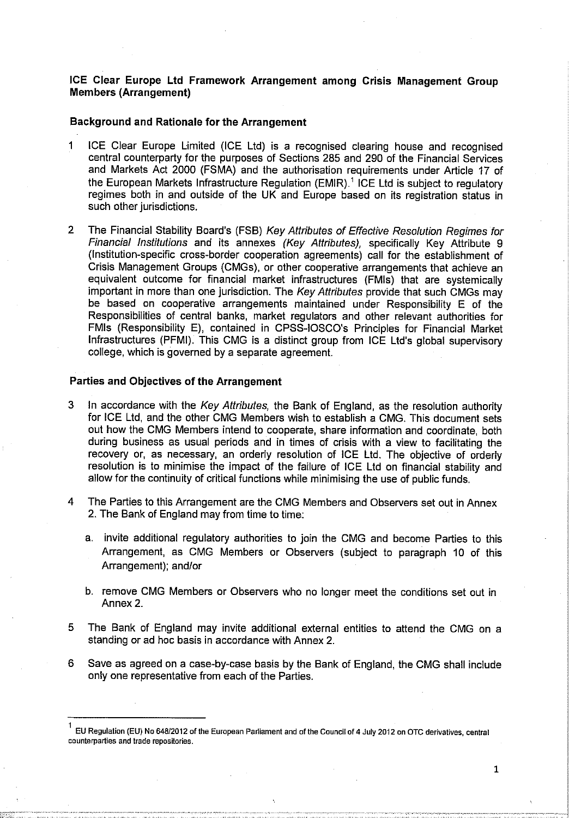#### **ICE Clear Europe Ltd Framework Arrangement among Crisis Management Group Members (Arrangement)**

#### **Background and Rationale for the Arrangement**

- 1 ICE Clear Europe Limited (ICE Ltd) is a recognised clearing house and recognised central counterparty for the purposes of Sections 285 and 290 of the Financial Services and Markets Act 2000 (FSMA) and the authorisation requirements under Article 17 of the European Markets Infrastructure Regulation (EMIR).' ICE Ltd is subject to regulatory regimes both in and outside of the UK and Europe based on its registration status in such other jurisdictions.
- 2 The Financial Stability Board's (FSB) Key Attributes of Effective Resolution Regimes for Financiai Institutions and its annexes (Key Attributes), specifically Key Attribute 9 (Institution-specific cross-border cooperation agreements) call for the establishment of Crisis Management Groups (CMGs), or other cooperative arrangements that achieve an equivalent outcome for financial market infrastructures (FMIs) that are systemically important in more than one jurisdiction. The Key Attributes provide that such CMGs may be based on cooperative arrangements maintained under Responsibility E of the Responsibilities of central banks, market regulators and other relevant authorities for FMIs (Responsibility E), contained in CPSS-IOSCO's Principles for Financial Market infrastructures (PFMI). This CMG is a distinct group from ICE Ltd's global supervisory college, which is governed by a separate agreement.

### **Parties and Objectives of the Arrangement**

- 3 In accordance with the Key Attributes, the Bank of England, as the resolution authority for ICE Ltd, and the other CMG Members wish to establish a CMG. This document sets out how the CMG Members intend to cooperate, share information and coordinate, both during business as usual periods and in times of crisis with a view to facilitating the recovery or, as necessary, an orderly resolution of ICE Ltd. The objective of orderly resolution is to minimise the impact of the failure of ICE Ltd on financial stability and allow for the continuity of critical functions while minimising the use of public funds.
- 4 The Parties to this Arrangement are the CMG Members and Observers set out in Annex 2. The Bank of England may from time to time;
	- a. invite additional regulatory authorities to join the CMG and become Parties to this Arrangement, as CMG Members or Observers (subject to paragraph 10 of this Arrangement); and/or
	- b. remove CMG Members or Observers who no longer meet the conditions set out in Annex 2.
- 5 The Bank of England may invite additional external entities to attend the CMG on a standing or ad hoc basis in accordance with Annex 2.
- 6 Save as agreed on **a** case-by-case basis by the Bank of England, the CMG shall include only one representative from each of the Parties.

**E U Regulation (EU) No 648/2012 of the European Parliament and of the Council of 4 July 2012 on OTC derivatives, central counterparties and trade repositories.**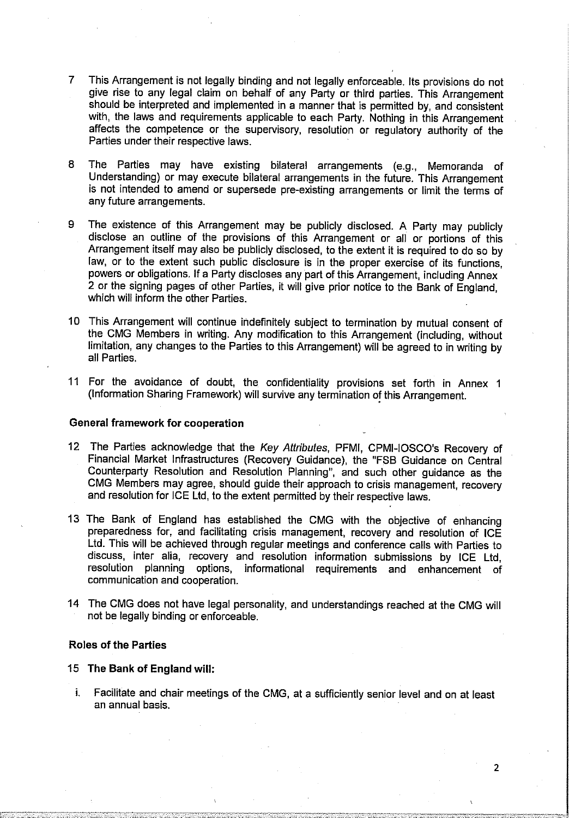- 7 This Arrangement is not legally binding and not legally enforceable. Its provisions do not give rise to any legal claim on behalf of any Party or third parties. This Arrangement should be interpreted and implemented in a manner that is permitted by, and consistent with, the laws and requirements applicable to each Party. Nothing in this Arrangement affects the competence or the supervisory, resolution or regulatory authority of the Parties under their respective laws.
- 8 The Parties may have existing bilateral arrangements (e.g., Memoranda of Understanding) or may execute bilateral arrangements in the future. This Arrangement is not intended to amend or supersede pre-existing arrangements or limit the terms of any future arrangements.
- 9 The existence of this Arrangement may be publicly disclosed. A Party may publicly disclose an outline of the provisions of this Arrangement or all or portions of this Arrangement itself may also be publicly disclosed, to the extent it is required to do so by law, or to the extent such public disclosure is in the proper exercise of its functions, powers or obligations. If a Party discloses any part of this Arrangement, including Annex 2 or the signing pages of other Parties, it will give prior notice to the Bank of England, which will inform the other Parties.
- 10 This Arrangement will continue indefinitely subject to termination by mutual consent of the CMG Members in writing. Any modification to this Arrangement (including, without limitation, any changes to the Parties to this Arrangement) will be agreed to in writing by all Parties.
- 11 For the avoidance of doubt, the confidentiality provisions set forth in Annex 1 (Information Sharing Framework) will survive any termination of this Arrangement.

#### **General framework for cooperation**

- 12 The Parties acknowledge that the Key Attributes, PFMI, CPMi-IOSCO's Recovery of Financial Market Infrastructures (Recovery Guidance), the "FSB Guidance on Central Counterparty Resolution and Resolution Planning", and such other guidance as the CMG Members may agree, should guide their approach to crisis management, recovery and resolution for ICE Ltd, to the extent permitted by their respective laws.
- 13 The Bank of England has established the CMG with the objective of enhancing preparedness for, and facilitating crisis management, recovery and resolution of ICE Ltd. This will be achieved through regular meetings and conference calls with Parties to discuss, inter alia, recovery and resolution information submissions by ICE Ltd, resolution planning options, informational requirements and enhancement of communication and cooperation.
- 14 The CMG does not have legal personality, and understandings reached at the CMG will not be legally binding or enforceable.

#### **Roles of the Parties**

#### 15 **The Bank of England will:**

i. Facilitate and chair meetings of the CMG, at a sufficiently senior level and on at least an annual basis.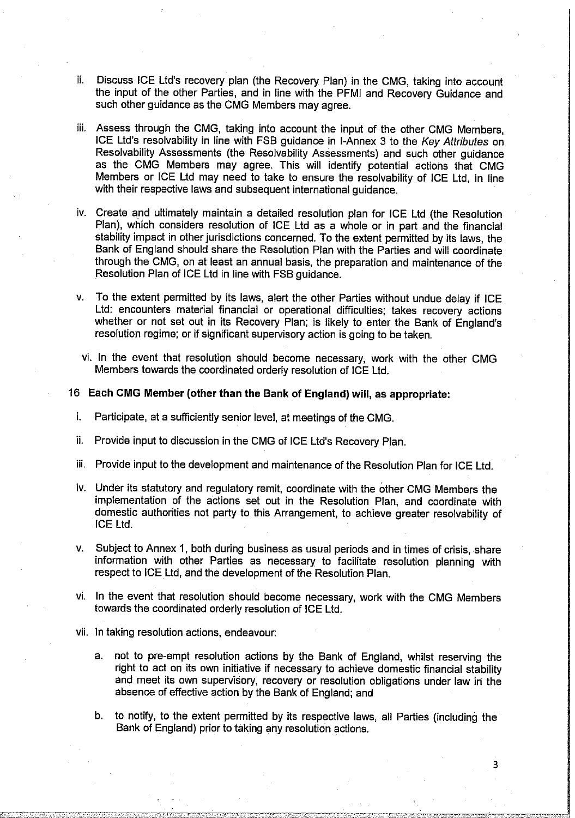- ii. Discuss ICE Ltd's recovery plan (the Recovery Plan) in the CMG, taking into account the input of the other Parties, and in line with the PFMI and Recovery Guidance and such other guidance as the CMG Members may agree.
- iii. Assess through the CMG, taking into account the input of the other CMG Members, ICE Ltd's resolvability in line with FSB guidance in I-Annex 3 to the Key Attributes on Resolvability Assessments (the Resolvability Assessments) and such other guidance as the CMG Members may agree. This will identify potential actions that CMG Members or ICE Ltd may need to take to ensure the resolvability of ICE Ltd, in line with their respective laws and subsequent international guidance.
- iv. Create and ultimately maintain a detailed resolution plan for ICE Ltd (the Resolution Plan), which considers resolution of ICE Ltd as a whole or in part and the financial stability impact in other jurisdictions concerned. To the extent permitted by its laws, the Bank of England should share the Resolution Plan with the Parties and will coordinate through the CMG, on at least an annual basis, the preparation and maintenance of the Resolution Plan of ICE Ltd in line with FSB guidance.
- v. To the extent permitted by its laws, alert the other Parties without undue delay if ICE Ltd: encounters material financial or operational difficulties; takes recovery actions whether or not set out in its Recovery Plan; is likely to enter the Bank of England's resolution regime; or if significant supervisory action is going to be taken.
	- vi. In the event that resolution should become necessary, work with the other CMG Members towards the coordinated orderly resolution of ICE Ltd.
- 16 **Each CMG Member (other than the Bank of England) will, as appropriate:** 
	- i. Participate, at a sufficiently senior level, at meetings of the CMG.
	- ii. Provide input to discussion in the CMG of ICE Ltd's Recovery Plan.
	- iii. Provide input to the development and maintenance of the Resolution Plan for ICE Ltd.
	- iv. Under its statutory and regulatory remit, coordinate with the other CMG Members the implementation of the actions set out in the Resolution Plan, and coordinate with domestic authorities not party to this Arrangement, to achieve greater resolvability of ICE Ltd.
	- v. Subject to Annex 1, both during business as usual periods and in times of crisis, share information with other Parties as necessary to facilitate resolution planning with respect to ICE Ltd, and the development of the Resolution Plan.
	- vi. In the event that resolution should become necessary, work with the CMG Members towards the coordinated orderly resolution of ICE Ltd.
	- vii. In taking resolution actions, endeavour
		- a. not to pre-empt resolution actions by the Bank of England, whilst reserving the right to act on its own initiative if necessary to achieve domestic financial stability and meet its own supervisory, recovery or resolution obligations under law iri the absence of effective action by the Bank of England; and
		- b. to notify, to the extent permitted by its respective laws, all Parties (including the Bank of England) prior to taking any resolution actions.

3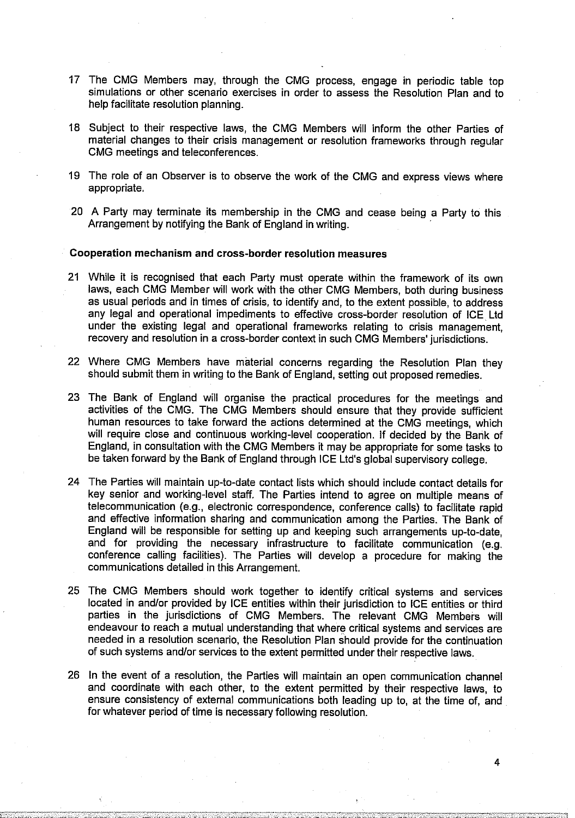- 17 The CMG Members may, through the CMG process, engage in periodic table top simulations or other scenario exercises in order to assess the Resolution Plan and to help facilitate resolution planning.
- 18 Subject to their respective laws, the CMG Members will inform the other Parties of material changes to their crisis management or resolution frameworks through regular CMG meetings and teleconferences.
- 19 The role of an Observer is to observe the work of the CMG and express views where appropriate.
- 20 A Party may terminate its membership in the CMG and cease being a Party to this Arrangement by notifying the Bank of England in writing.

#### **Cooperation mechanism and cross-border resolution measures**

- 21 While it is recognised that each Party must operate within the framework of its own laws, each CMG Member will work with the other CMG Members, both during business as usual periods and in times of crisis, to identify and, to the extent possible, to address any legal and operational impediments to effective cross-border resolution of ICE Ltd under the existing legal and operational frameworks relating to crisis management, recovery and resolution in a cross-border context in such CMG Members'jurisdictions.
- 22 Where CMG Members have material concerns regarding the Resolution Plan they should submit them in writing to the Bank of England, setting out proposed remedies.
- 23 The Bank of England will organise the practical procedures for the meetings and activities of the CMG. The CMG Members should ensure that they provide sufficient human resources to take forward the actions determined at the CMG meetings, which will require close and continuous working-level cooperation. If decided by the Bank of England, in consultation with the CMG Members it may be appropriate for some tasks to be taken forward by the Bank of England through ICE Ltd's global supervisory college.
- 24 The Parties will maintain up-to-date contact lists which should include contact details for key senior and working-level staff. The Parties intend to agree on multiple means of telecommunication (e.g., electronic correspondence, conference calls) to facilitate rapid and effective information sharing and communication among the Parties. The Bank of England will be responsible for setting up and keeping such arrangements up-to-date, and for providing the necessary infrastructure to facilitate communication (e.g. conference calling facilities). The Parties will develop a procedure for making the communications detailed in this Arrangement.
- 25 The CMG Members should work together to identify critical systems and services located in and/or provided by ICE entities within their jurisdiction to ICE entities or third parties in the jurisdictions of CMG Members. The relevant CMG Members will endeavour to reach a mutual understanding that where critical systems and services are needed in a resolution scenario, the Resolution Plan should provide for the continuation of such systems and/or services to the extent permitted under their respective laws.
- 26 In the event of a resolution, the Parties will maintain an open communication channel and coordinate with each other, to the extent permitted by their respective laws, to ensure consistency of external communications both leading up to, at the time of, and for whatever period of time is necessary following resolution.

4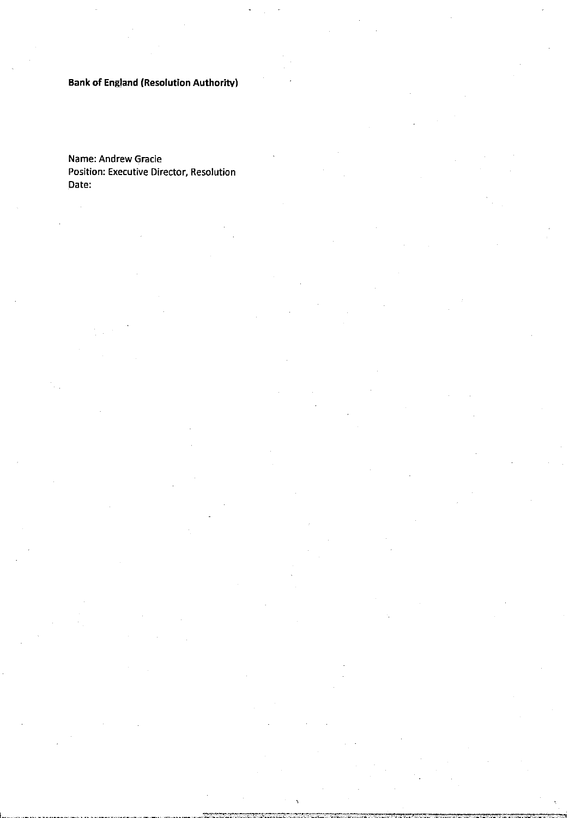# **Bank of England (Resolution Authority)**

Name: Andrew Gracie Position: Executive Director, Resolution Date:

 $\ddot{\phantom{a}}$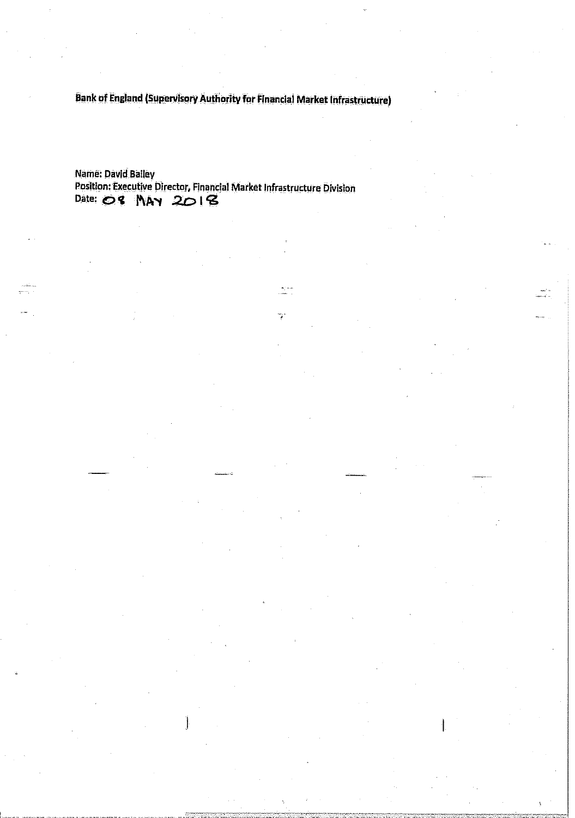Bank of England (Supervisory Authority for Financial Market Infrastructure)

Name: David Balley Position: Executive Director, Financial Market Infrastructure Division Date: 08 MAY 2018

Y.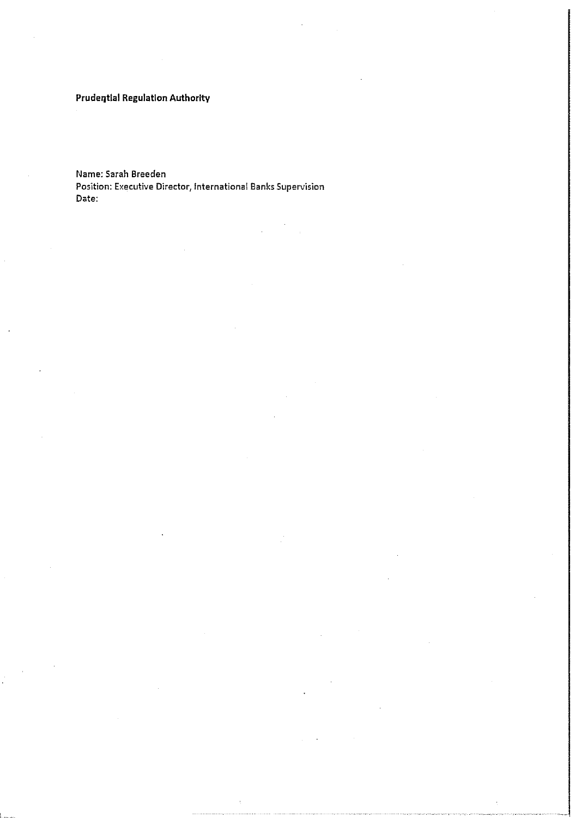### **Prudential Regulation Authority**

**Name: Sarah Breeden Position: Executive Director, Internationai Banks Supervision Date:**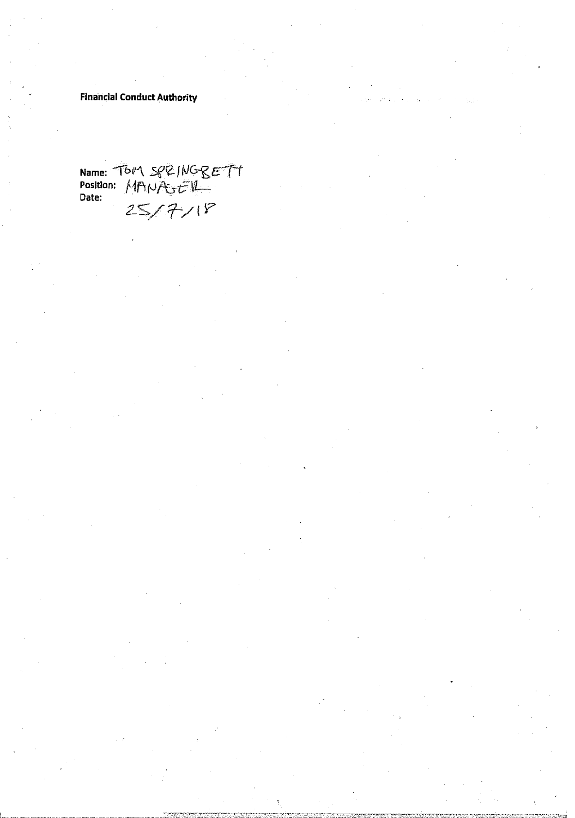# **Financial Conduct Authority**

Name: TOP\ SPRINGBETT Position: MANASER **Date:**  $25/7/18$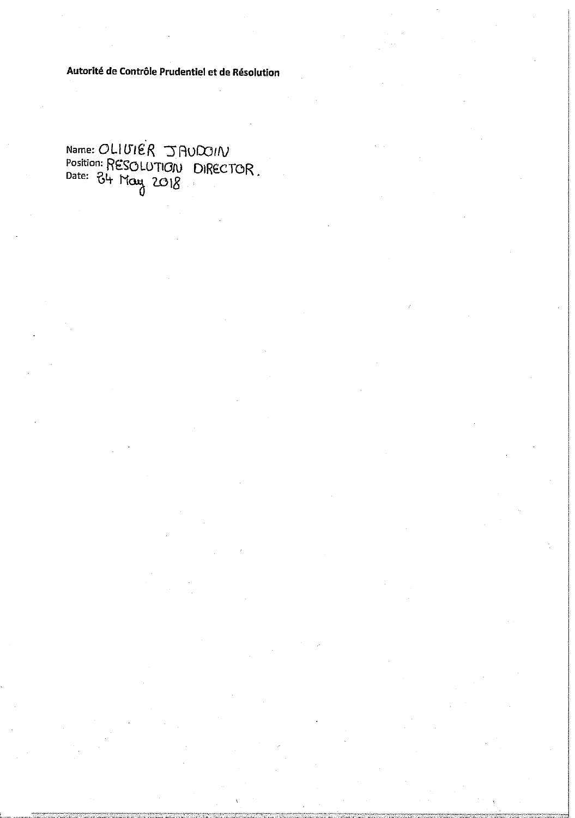Autorité de Contrôle Prudentiel et de Résolution

Name: OLIVIER JAUDOIN<br>Position: RESOLUTION DIRECTOR.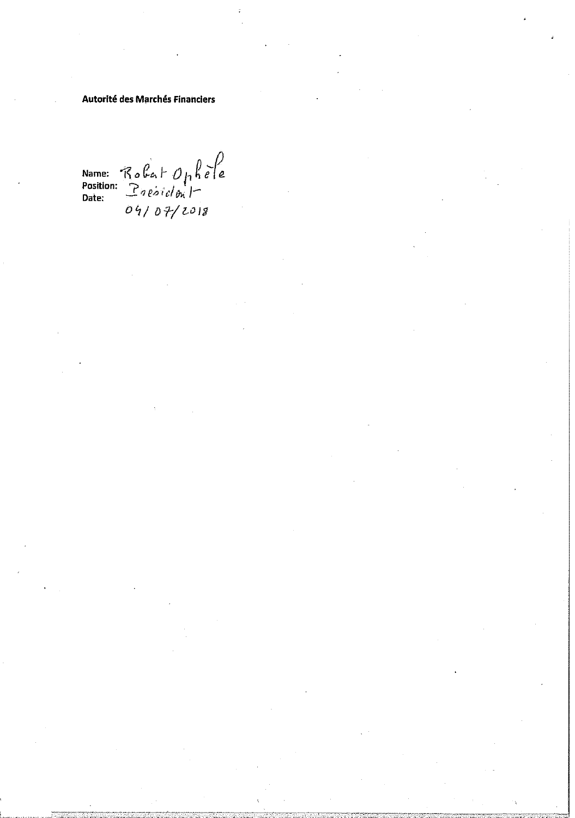### **Autorité des Marchés Financiers**

Name:  $R_0$   $C_0$   $\uparrow$   $\uparrow$   $\downarrow$   $\uparrow$   $\downarrow$   $\uparrow$   $\uparrow$  Position:  $P_0$   $\downarrow$   $\downarrow$   $\uparrow$   $\downarrow$   $\downarrow$   $\downarrow$   $\downarrow$   $\downarrow$   $\downarrow$   $\downarrow$   $\downarrow$   $\downarrow$   $\downarrow$   $\downarrow$   $\downarrow$   $\downarrow$   $\downarrow$   $\downarrow$   $\downarrow$   $\downarrow$   $\downarrow$   $\downarrow$   $\downarrow$   $\downarrow$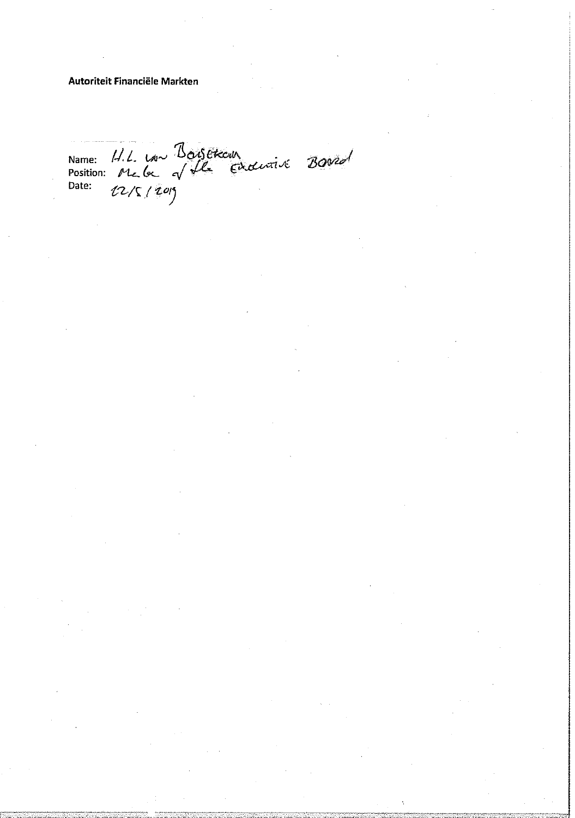### Autoriteit Financiële Markten

Name: 11.1. Lon Boisetcour<br>Position: Me la VIle Endurir Boord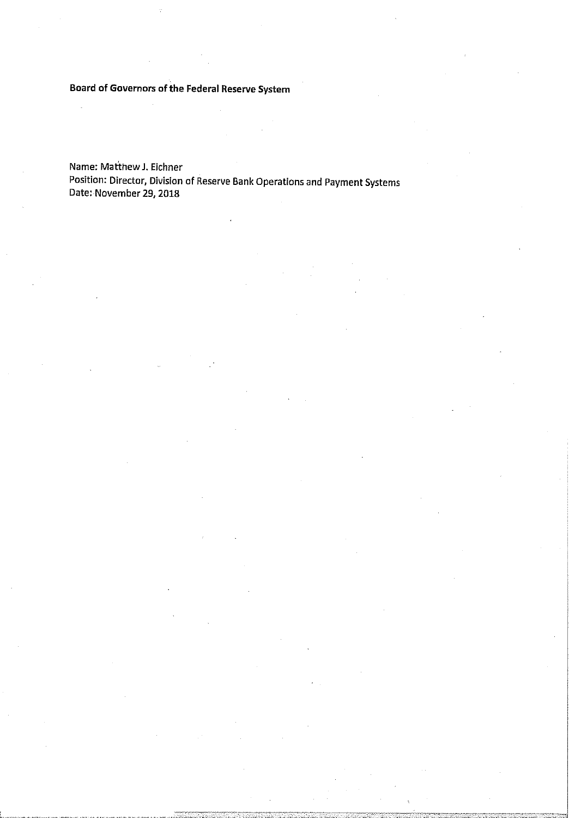**Board of Governors of the Federal Reserve System** 

Name: Matthew J. Eichner Position: Director, Division of Reserve Bank Operations and Payment Systems Date: November 29,2018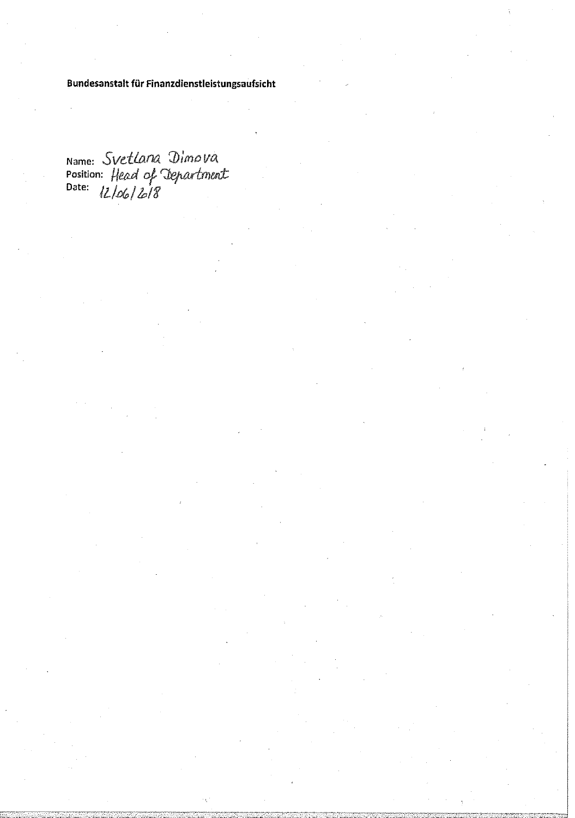Bundesanstalt für Finanzdienstleistungsaufsicht

Name: Svetlana Dimova<br>Position: Head of Department<br>Date: 12/06/2018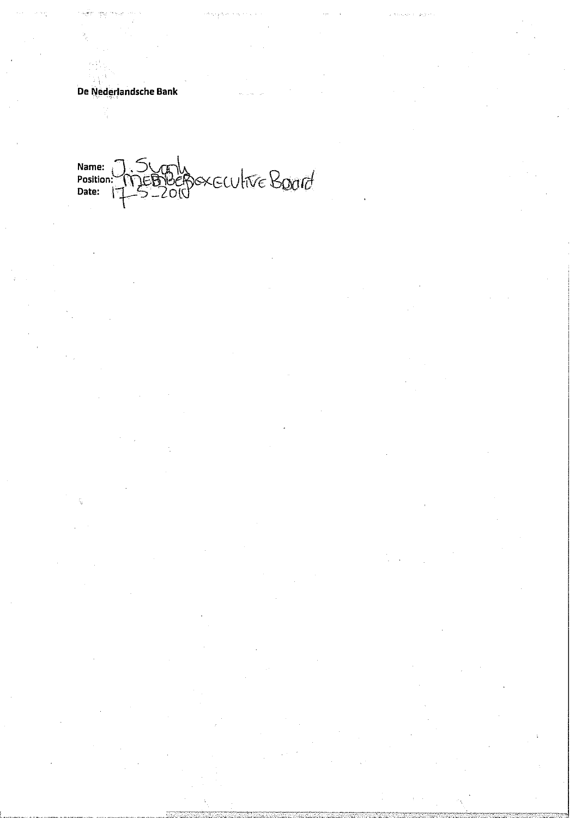# **De Nederlandsche Bank**

Name:<br>Position:<br>Date: Audite Board <u>דן</u><br>ג'ו  $200$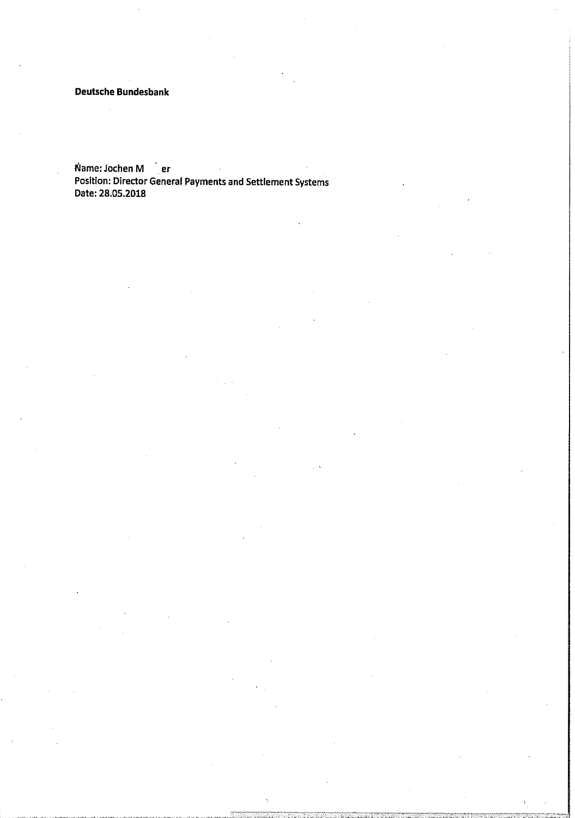**Deutsche Bundesbank** 

**Name: Jochen M** er **Position: Director General Payments and Settlement Systems Date: 28.05.2018**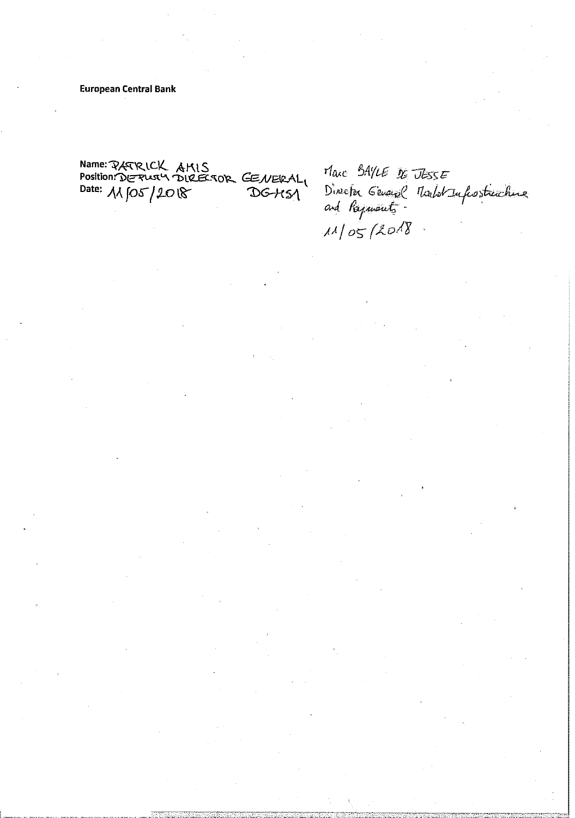**European Central Bank** 

Name: PATRICK AMIS<br>Position: DERUSY DIREESOR GENERAL

Marc BAYLE DE JESSE Director General Marlot Infrostructure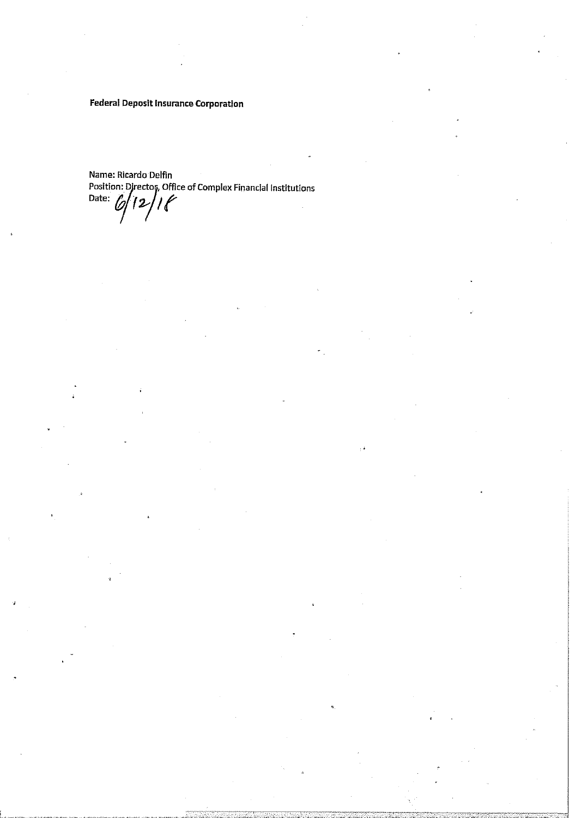**Federal Deposit Insurance Corporation** 

Name: Ricardo Delfin Position: Director, Office of Complex Financial Institutions Date:  $\mathscr{O}$  $12/16$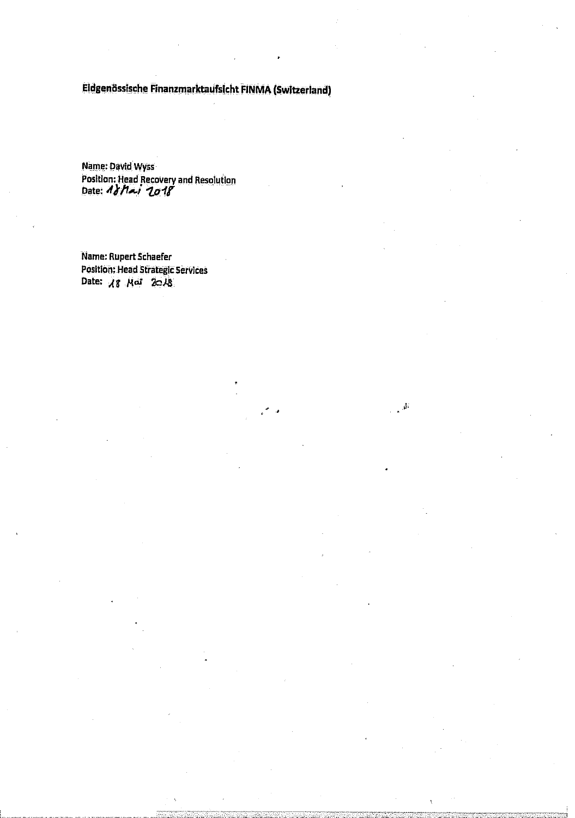# **Eidgenossische Finanzmarktaufsicht FINMA (Switzerland)**

 $\vec{p}$ 

**Name: David Wyss Position: Head Recovery and Resolution Date: 4}/Uj** ipif

**Name: Rupert Schaefer Position; Head Strategic Sen/Ices**  Date: 18 Mai 2018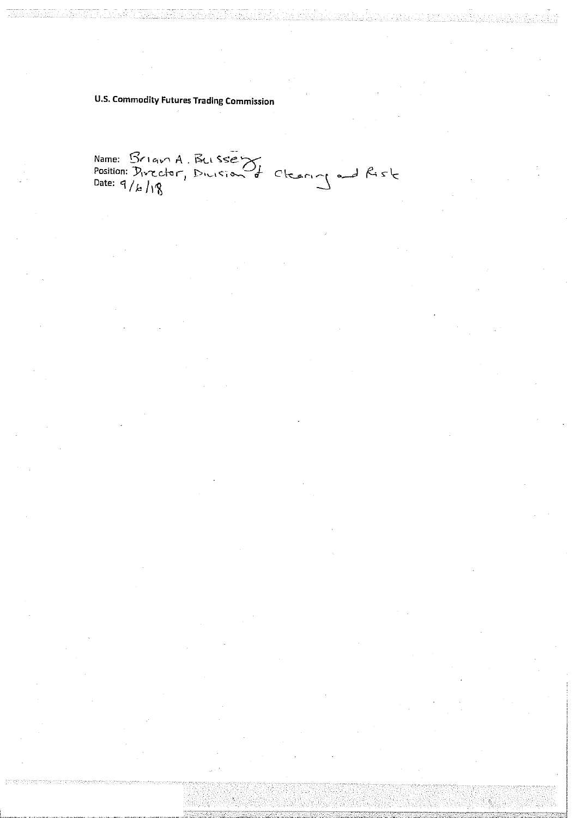# **U.S. Commodity Futures Trading Commission**

Name: Brian A. Bussey<br>Position: Director, Dirisian & Clearing and Risk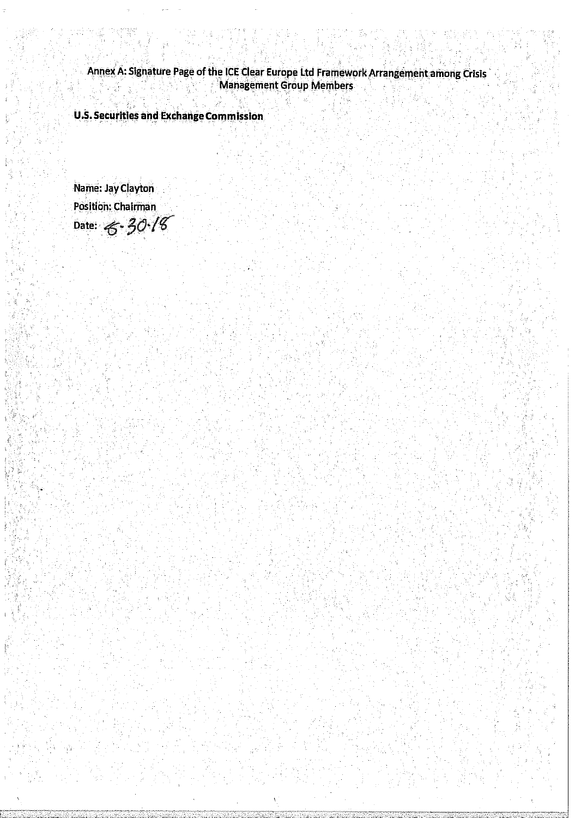**Annex A: Signature Page of the ICE Clear Europe Ltd Framework Arrangement among Crisis Management Group Members** 

**U.S. Securities and Exchange Commission** 

**Name: Jay Clayton Position: Chairman**  Date:  $6 - 30.18$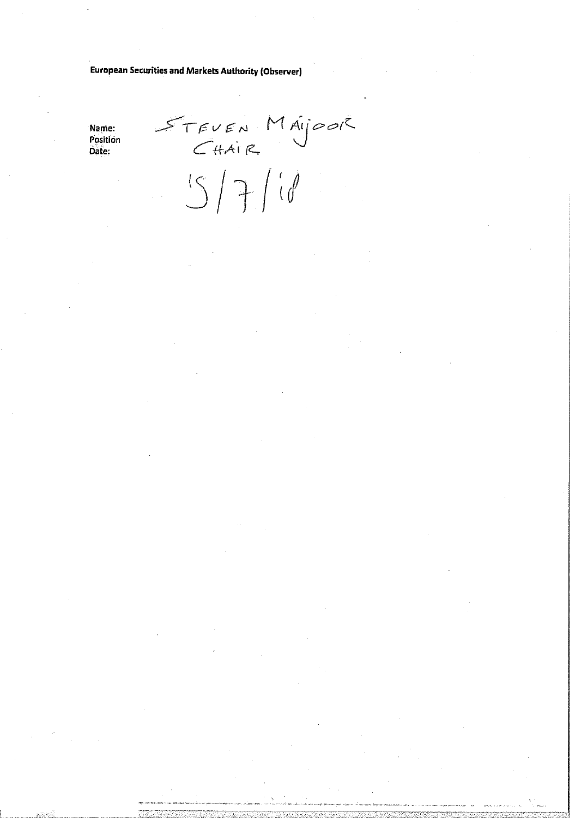**European Securities and Markets Authority (Observer)** 

Name: Position Date:

STEVEN MAYOOR<br>CHAIR<br>S/7/10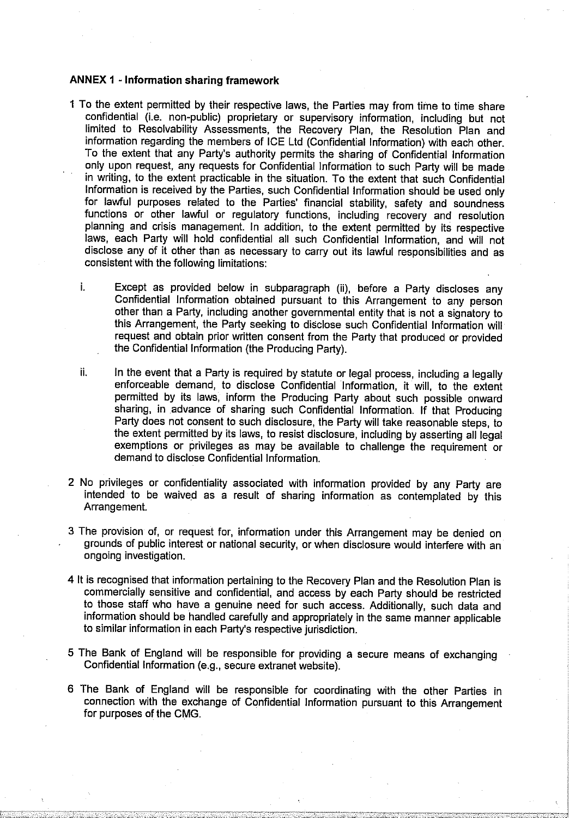### **ANNEX 1 - Information sharing framework**

- 1 To the extent permitted by their respective laws, the Parties may from time to time share confidential (i.e. non-public) proprietary or supervisory information, including but not limited to Resolvability Assessments, the Recovery Plan, the Resolution Plan and information regarding the members of ICE Ltd (Confidential Information) with each other. To the extent that any Party's authority permits the sharing of Confidential Information only upon request, any requests for Confidential Information to such Party will be made in writing, to the extent practicable in the situation. To the extent that such Confidential Information is received by the Parties, such Confidential Information should be used only for lawful purposes related to the Parties' financial stability, safety and soundness functions or other lawful or regulatory functions, including recovery and resolution planning and crisis management. In addition, to the extent permitted by its respective laws, each Party will hold confidential all such Confidential Information, and will not disclose any of it other than as necessary to carry out its lawful responsibilities and as consistent with the following limitations:
	- i. Except as provided below in subparagraph (ii), before a Party discloses any Confidential Information obtained pursuant to this Arrangement to any person other than a Party, including another governmental entity that is not a signatory to this Arrangement, the Party seeking to disclose such Confidential Information will request and obtain prior written consent from the Party that produced or provided the Confidential information (the Producing Party).
	- ii. In the event that a Party is required by statute or legal process, including a legally enforceable demand, to disclose Confidential Information, it will, to the extent permitted by its laws, inform the Producing Party about such possible onward sharing, in advance of sharing such Confidential Information. If that Producing Party does not consent to such disclosure, the Party will take reasonable steps, to the extent permitted by its laws, to resist disclosure, including by asserting all legal exemptions or privileges as may be available to challenge the requirement or demand to disclose Confidential Information.
- 2 No privileges or confidentiality associated with information provided by any Party are intended to be waived as a result of sharing information as contemplated by this Arrangement.
- 3 The provision of, or request for, information under this Arrangement may be denied on grounds of public interest or national security, or when disclosure would interfere with an ongoing investigation.
- 4 It is recognised that information pertaining to the Recovery Plan and the Resolution Plan is commercially sensitive and confidential, and access by each Party should be restricted to those staff who have a genuine need for such access. Additionally, such data and information should be handled carefully and appropriately in the same manner applicable to similar information in each Party's respective jurisdiction.
- 5 The Bank of England will be responsible for providing a secure means of exchanging Confidential Information (e.g., secure extranet website).
- 6 The Bank of England will be responsible for coordinating with the other Parties in connection with the exchange of Confidential Information pursuant to this Arrangement for purposes of the CMG.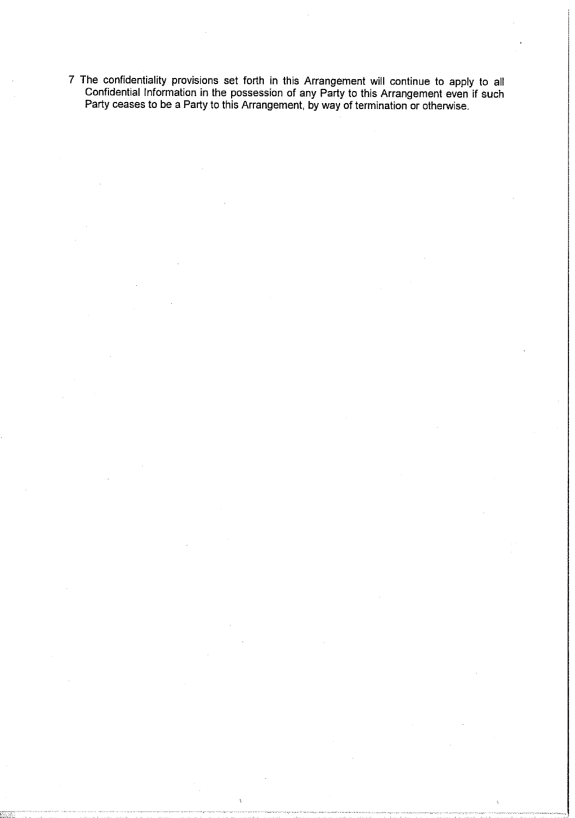7 The confidentiality provisions set forth in this Arrangement will continue to apply to all Confidential Information in the possession of any Party to this Arrangement even if such Party ceases to be a Party to this Arrangement, by way of termination or otherwise.